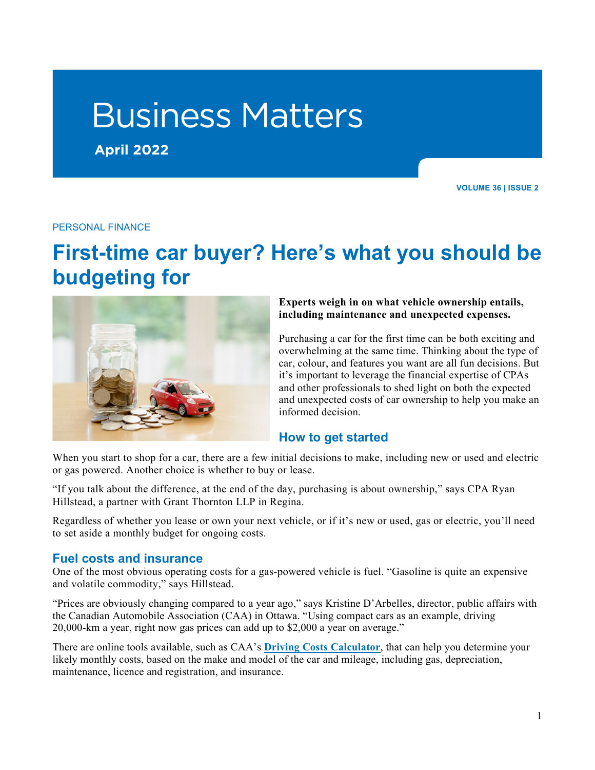# Business Matters

**April 2022**

**VOLUME 36 | ISSUE 2** 

#### PERSONAL FINANCE

# **First-time car buyer? Here's what you should be budgeting for**



#### **Experts weigh in on what vehicle ownership entails, including maintenance and unexpected expenses.**

Purchasing a car for the first time can be both exciting and overwhelming at the same time. Thinking about the type of car, colour, and features you want are all fun decisions. But it's important to leverage the financial expertise of CPAs and other professionals to shed light on both the expected and unexpected costs of car ownership to help you make an informed decision.

# **How to get started**

When you start to shop for a car, there are a few initial decisions to make, including new or used and electric or gas powered. Another choice is whether to buy or lease.

"If you talk about the difference, at the end of the day, purchasing is about ownership," says CPA Ryan Hillstead, a partner with Grant Thornton LLP in Regina.

Regardless of whether you lease or own your next vehicle, or if it's new or used, gas or electric, you'll need to set aside a monthly budget for ongoing costs.

#### **Fuel costs and insurance**

One of the most obvious operating costs for a gas-powered vehicle is fuel. "Gasoline is quite an expensive and volatile commodity," says Hillstead.

"Prices are obviously changing compared to a year ago," says Kristine D'Arbelles, director, public affairs with the Canadian Automobile Association (CAA) in Ottawa. "Using compact cars as an example, driving 20,000-km a year, right now gas prices can add up to \$2,000 a year on average."

There are online tools available, such as CAA's **[Driving Costs Calculator](http://carcosts.caa.ca/)**, that can help you determine your likely monthly costs, based on the make and model of the car and mileage, including gas, depreciation, maintenance, licence and registration, and insurance.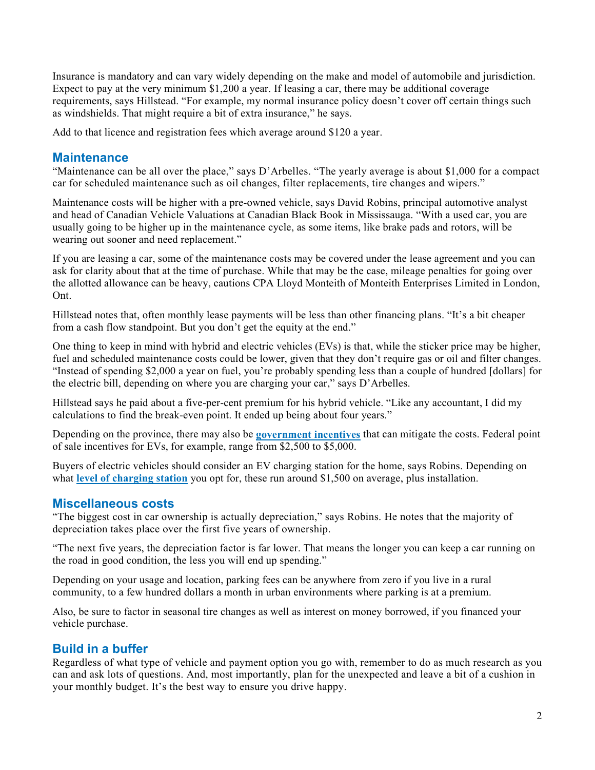Insurance is mandatory and can vary widely depending on the make and model of automobile and jurisdiction. Expect to pay at the very minimum \$1,200 a year. If leasing a car, there may be additional coverage requirements, says Hillstead. "For example, my normal insurance policy doesn't cover off certain things such as windshields. That might require a bit of extra insurance," he says.

Add to that licence and registration fees which average around \$120 a year.

### **Maintenance**

"Maintenance can be all over the place," says D'Arbelles. "The yearly average is about \$1,000 for a compact car for scheduled maintenance such as oil changes, filter replacements, tire changes and wipers."

Maintenance costs will be higher with a pre-owned vehicle, says David Robins, principal automotive analyst and head of Canadian Vehicle Valuations at Canadian Black Book in Mississauga. "With a used car, you are usually going to be higher up in the maintenance cycle, as some items, like brake pads and rotors, will be wearing out sooner and need replacement."

If you are leasing a car, some of the maintenance costs may be covered under the lease agreement and you can ask for clarity about that at the time of purchase. While that may be the case, mileage penalties for going over the allotted allowance can be heavy, cautions CPA Lloyd Monteith of Monteith Enterprises Limited in London, Ont.

Hillstead notes that, often monthly lease payments will be less than other financing plans. "It's a bit cheaper from a cash flow standpoint. But you don't get the equity at the end."

One thing to keep in mind with hybrid and electric vehicles (EVs) is that, while the sticker price may be higher, fuel and scheduled maintenance costs could be lower, given that they don't require gas or oil and filter changes. "Instead of spending \$2,000 a year on fuel, you're probably spending less than a couple of hundred [dollars] for the electric bill, depending on where you are charging your car," says D'Arbelles.

Hillstead says he paid about a five-per-cent premium for his hybrid vehicle. "Like any accountant, I did my calculations to find the break-even point. It ended up being about four years."

Depending on the province, there may also be **[government incentives](https://www.caa.ca/sustainability/electric-vehicles/government-incentives/)** that can mitigate the costs. Federal point of sale incentives for EVs, for example, range from \$2,500 to \$5,000.

Buyers of electric vehicles should consider an EV charging station for the home, says Robins. Depending on what **[level of charging station](https://www.plugndrive.ca/guide-ev-charging/)** you opt for, these run around \$1,500 on average, plus installation.

#### **Miscellaneous costs**

"The biggest cost in car ownership is actually depreciation," says Robins. He notes that the majority of depreciation takes place over the first five years of ownership.

"The next five years, the depreciation factor is far lower. That means the longer you can keep a car running on the road in good condition, the less you will end up spending."

Depending on your usage and location, parking fees can be anywhere from zero if you live in a rural community, to a few hundred dollars a month in urban environments where parking is at a premium.

Also, be sure to factor in seasonal tire changes as well as interest on money borrowed, if you financed your vehicle purchase.

# **Build in a buffer**

Regardless of what type of vehicle and payment option you go with, remember to do as much research as you can and ask lots of questions. And, most importantly, plan for the unexpected and leave a bit of a cushion in your monthly budget. It's the best way to ensure you drive happy.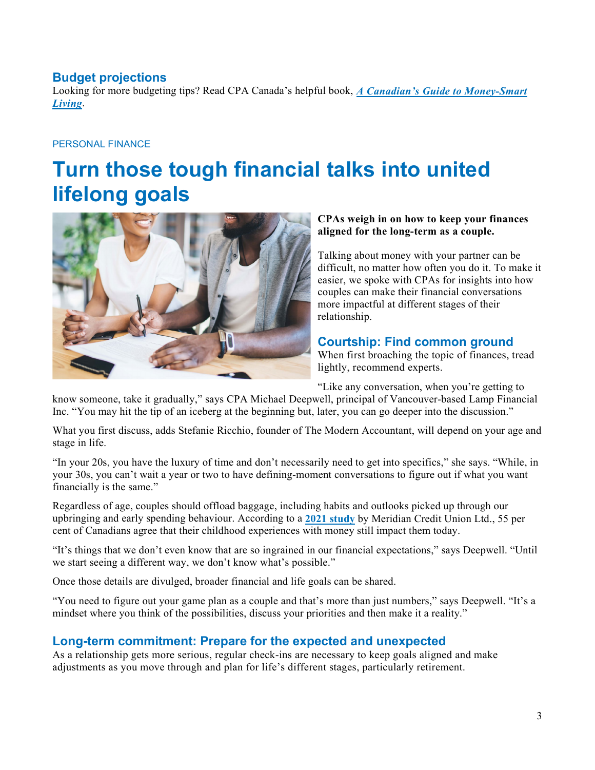# **Budget projections**

Looking for more budgeting tips? Read CPA Canada's helpful book, *[A Canadian's Guide to Money-Smart](https://www.chapters.indigo.ca/en-ca/books/a-canadians-guide-to-money/9781770865501-item.html)  [Living](https://www.chapters.indigo.ca/en-ca/books/a-canadians-guide-to-money/9781770865501-item.html)*.

### PERSONAL FINANCE

# **Turn those tough financial talks into united lifelong goals**



#### **CPAs weigh in on how to keep your finances aligned for the long-term as a couple.**

Talking about money with your partner can be difficult, no matter how often you do it. To make it easier, we spoke with CPAs for insights into how couples can make their financial conversations more impactful at different stages of their relationship.

### **Courtship: Find common ground**

When first broaching the topic of finances, tread lightly, recommend experts.

"Like any conversation, when you're getting to

know someone, take it gradually," says CPA Michael Deepwell, principal of Vancouver-based Lamp Financial Inc. "You may hit the tip of an iceberg at the beginning but, later, you can go deeper into the discussion."

What you first discuss, adds Stefanie Ricchio, founder of The Modern Accountant, will depend on your age and stage in life.

"In your 20s, you have the luxury of time and don't necessarily need to get into specifics," she says. "While, in your 30s, you can't wait a year or two to have defining-moment conversations to figure out if what you want financially is the same."

Regardless of age, couples should offload baggage, including habits and outlooks picked up through our upbringing and early spending behaviour. According to a **[2021 study](https://www.meridiancu.ca/good-sense/news/meridian-finds-most-canadians-have-money-hang-ups-from-childhood-that-still-affect-them-today)** by Meridian Credit Union Ltd., 55 per cent of Canadians agree that their childhood experiences with money still impact them today.

"It's things that we don't even know that are so ingrained in our financial expectations," says Deepwell. "Until we start seeing a different way, we don't know what's possible."

Once those details are divulged, broader financial and life goals can be shared.

"You need to figure out your game plan as a couple and that's more than just numbers," says Deepwell. "It's a mindset where you think of the possibilities, discuss your priorities and then make it a reality."

# **Long-term commitment: Prepare for the expected and unexpected**

As a relationship gets more serious, regular check-ins are necessary to keep goals aligned and make adjustments as you move through and plan for life's different stages, particularly retirement.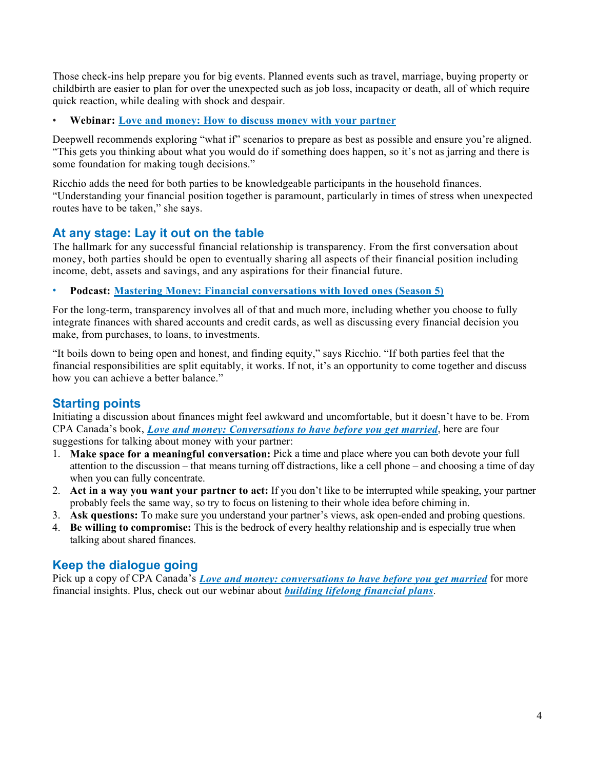Those check-ins help prepare you for big events. Planned events such as travel, marriage, buying property or childbirth are easier to plan for over the unexpected such as job loss, incapacity or death, all of which require quick reaction, while dealing with shock and despair.

• **Webinar: [Love and money: How to discuss money with your partner](https://www.cpacanada.ca/en/public-interest/financial-literacy/financial-literacy-resources/love-and-money)**

Deepwell recommends exploring "what if" scenarios to prepare as best as possible and ensure you're aligned. "This gets you thinking about what you would do if something does happen, so it's not as jarring and there is some foundation for making tough decisions."

Ricchio adds the need for both parties to be knowledgeable participants in the household finances. "Understanding your financial position together is paramount, particularly in times of stress when unexpected routes have to be taken," she says.

# **At any stage: Lay it out on the table**

The hallmark for any successful financial relationship is transparency. From the first conversation about money, both parties should be open to eventually sharing all aspects of their financial position including income, debt, assets and savings, and any aspirations for their financial future.

• **Podcast: [Mastering Money: Financial conversations with loved ones \(Season 5\)](https://www.cpacanada.ca/en/public-interest/financial-literacy/financial-literacy-resources/financial-literacy-podcast-mastering-money?sc_camp=1E46385623C84405A8642DC1D3F1A264)**

For the long-term, transparency involves all of that and much more, including whether you choose to fully integrate finances with shared accounts and credit cards, as well as discussing every financial decision you make, from purchases, to loans, to investments.

"It boils down to being open and honest, and finding equity," says Ricchio. "If both parties feel that the financial responsibilities are split equitably, it works. If not, it's an opportunity to come together and discuss how you can achieve a better balance."

# **Starting points**

Initiating a discussion about finances might feel awkward and uncomfortable, but it doesn't have to be. From CPA Canada's book, *[Love and money: Conversations to have before you get married](https://www.chapters.indigo.ca/en-ca/books/love-and-money-conversations-to/9781770865785-item.html?ikwid=love+and+money&ikwsec=Home&ikwidx=0#algoliaQueryId=4258a008795c011e516d133ef9c47fec)*, here are four suggestions for talking about money with your partner:

- 1. **Make space for a meaningful conversation:** Pick a time and place where you can both devote your full attention to the discussion – that means turning off distractions, like a cell phone – and choosing a time of day when you can fully concentrate.
- 2. **Act in a way you want your partner to act:** If you don't like to be interrupted while speaking, your partner probably feels the same way, so try to focus on listening to their whole idea before chiming in.
- 3. **Ask questions:** To make sure you understand your partner's views, ask open-ended and probing questions.
- 4. **Be willing to compromise:** This is the bedrock of every healthy relationship and is especially true when talking about shared finances.

# **Keep the dialogue going**

Pick up a copy of CPA Canada's *[Love and money: conversations to have before you get married](https://www.chapters.indigo.ca/en-ca/books/love-and-money-conversations-to/9781770865785-item.html?ikwid=love+and+money&ikwsec=Home&ikwidx=0#algoliaQueryId=4258a008795c011e516d133ef9c47fec)* for more financial insights. Plus, check out our webinar about *[building lifelong financial plans](https://www.cpacanada.ca/en/public-interest/financial-literacy/financial-literacy-resources/wellness-during-crisis-webinars/lifelong-financial-plan)*.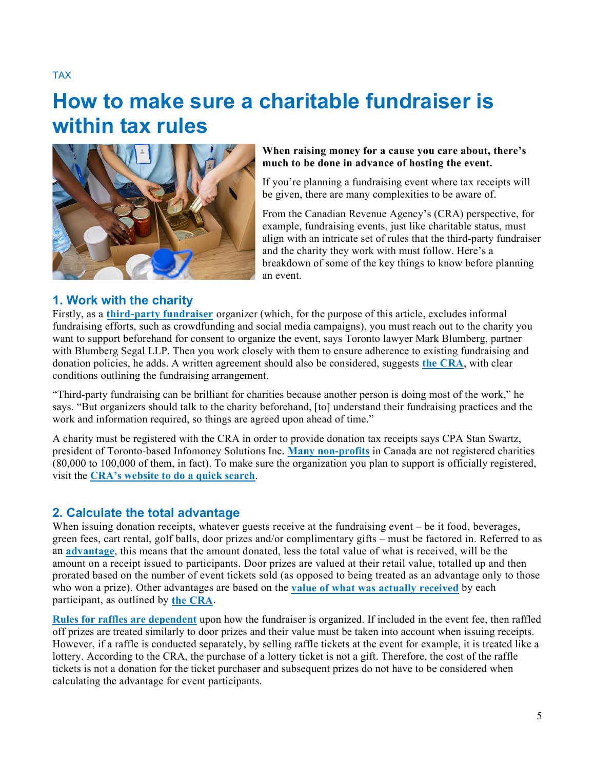TAX

# **How to make sure a charitable fundraiser is within tax rules**



#### **When raising money for a cause you care about, there's much to be done in advance of hosting the event.**

If you're planning a fundraising event where tax receipts will be given, there are many complexities to be aware of.

From the Canadian Revenue Agency's (CRA) perspective, for example, fundraising events, just like charitable status, must align with an intricate set of rules that the third-party fundraiser and the charity they work with must follow. Here's a breakdown of some of the key things to know before planning an event.

# **1. Work with the charity**

Firstly, as a **[third-party fundraiser](https://www.canada.ca/en/revenue-agency/services/charities-giving/charities/policies-guidance/policy-commentary-026-third-party-fundraisers.html)** organizer (which, for the purpose of this article, excludes informal fundraising efforts, such as crowdfunding and social media campaigns), you must reach out to the charity you want to support beforehand for consent to organize the event, says Toronto lawyer Mark Blumberg, partner with Blumberg Segal LLP. Then you work closely with them to ensure adherence to existing fundraising and donation policies, he adds. A written agreement should also be considered, suggests **[the CRA](https://www.canada.ca/en/revenue-agency/services/charities-giving/charities/policies-guidance/policy-commentary-026-third-party-fundraisers.html)**, with clear conditions outlining the fundraising arrangement.

"Third-party fundraising can be brilliant for charities because another person is doing most of the work," he says. "But organizers should talk to the charity beforehand, [to] understand their fundraising practices and the work and information required, so things are agreed upon ahead of time."

A charity must be registered with the CRA in order to provide donation tax receipts says CPA Stan Swartz, president of Toronto-based Infomoney Solutions Inc. **[Many non-profits](https://www.blumbergs.ca/non-profits-and-charities/)** in Canada are not registered charities (80,000 to 100,000 of them, in fact). To make sure the organization you plan to support is officially registered, visit the **[CRA's website to do a quick search](https://apps.cra-arc.gc.ca/ebci/hacc/srch/pub/dsplyBscSrch?request_locale=en)**.

# **2. Calculate the total advantage**

When issuing donation receipts, whatever guests receive at the fundraising event – be it food, beverages, green fees, cart rental, golf balls, door prizes and/or complimentary gifts – must be factored in. Referred to as an **[advantage](https://www.canada.ca/en/revenue-agency/services/charities-giving/charities/charities-giving-glossary.html#advantage)**, this means that the amount donated, less the total value of what is received, will be the amount on a receipt issued to participants. Door prizes are valued at their retail value, totalled up and then prorated based on the number of event tickets sold (as opposed to being treated as an advantage only to those who won a prize). Other advantages are based on the **[value of what was actually received](https://www.canada.ca/en/revenue-agency/services/charities-giving/charities/operating-a-registered-charity/issuing-receipts/determining-fair-market-value-gifts-kind-non-cash-gifts.html)** by each participant, as outlined by **[the CRA](https://www.canada.ca/en/revenue-agency/services/charities-giving/charities/operating-a-registered-charity/issuing-receipts/fundraising-events-issuing-receipts.html)**.

**[Rules for raffles](https://www.canada.ca/en/revenue-agency/services/charities-giving/charities/operating-a-registered-charity/issuing-receipts/fundraising-events-issuing-receipts.html) are dependent** upon how the fundraiser is organized. If included in the event fee, then raffled off prizes are treated similarly to door prizes and their value must be taken into account when issuing receipts. However, if a raffle is conducted separately, by selling raffle tickets at the event for example, it is treated like a lottery. According to the CRA, the purchase of a lottery ticket is not a gift. Therefore, the cost of the raffle tickets is not a donation for the ticket purchaser and subsequent prizes do not have to be considered when calculating the advantage for event participants.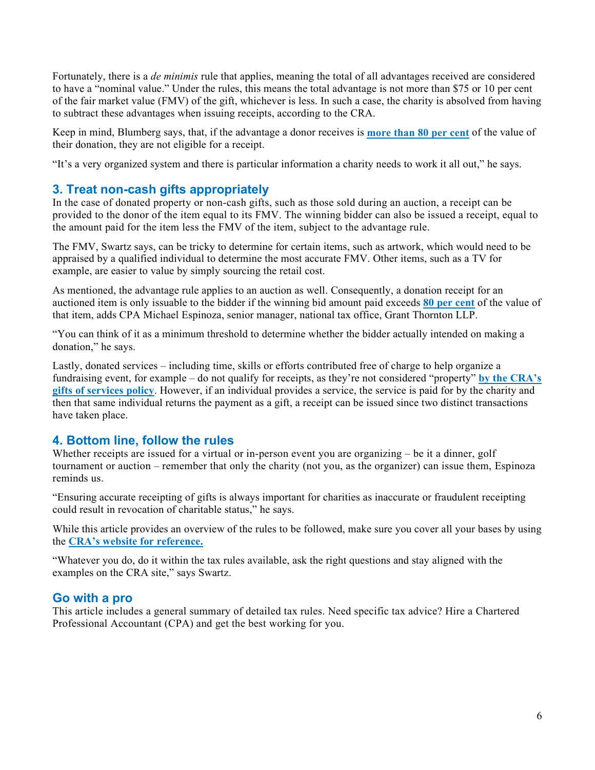Fortunately, there is a *de minimis* rule that applies, meaning the total of all advantages received are considered to have a "nominal value." Under the rules, this means the total advantage is not more than \$75 or 10 per cent of the fair market value (FMV) of the gift, whichever is less. In such a case, the charity is absolved from having to subtract these advantages when issuing receipts, according to the CRA.

Keep in mind, Blumberg says, that, if the advantage a donor receives is **[more than 80 per cent](https://www.canada.ca/en/revenue-agency/services/charities-giving/charities/operating-a-registered-charity/issuing-receipts/determining-fair-market-value-gifts-kind-non-cash-gifts.html)** of the value of their donation, they are not eligible for a receipt.

"It's a very organized system and there is particular information a charity needs to work it all out," he says.

# **3. Treat non-cash gifts appropriately**

In the case of donated property or non-cash gifts, such as those sold during an auction, a receipt can be provided to the donor of the item equal to its FMV. The winning bidder can also be issued a receipt, equal to the amount paid for the item less the FMV of the item, subject to the advantage rule.

The FMV, Swartz says, can be tricky to determine for certain items, such as artwork, which would need to be appraised by a qualified individual to determine the most accurate FMV. Other items, such as a TV for example, are easier to value by simply sourcing the retail cost.

As mentioned, the advantage rule applies to an auction as well. Consequently, a donation receipt for an auctioned item is only issuable to the bidder if the winning bid amount paid exceeds **[80 per cent](https://www.canada.ca/en/revenue-agency/services/charities-giving/charities/operating-a-registered-charity/issuing-receipts/determining-fair-market-value-gifts-kind-non-cash-gifts.html)** of the value of that item, adds CPA Michael Espinoza, senior manager, national tax office, Grant Thornton LLP.

"You can think of it as a minimum threshold to determine whether the bidder actually intended on making a donation," he says.

Lastly, donated services – including time, skills or efforts contributed free of charge to help organize a fundraising event, for example – do not qualify for receipts, as they're not considered "property" **[by the CRA's](https://www.canada.ca/en/revenue-agency/services/charities-giving/charities/policies-guidance/policy-commentary-017-gifts-services.html)  [gifts of services policy](https://www.canada.ca/en/revenue-agency/services/charities-giving/charities/policies-guidance/policy-commentary-017-gifts-services.html)**. However, if an individual provides a service, the service is paid for by the charity and then that same individual returns the payment as a gift, a receipt can be issued since two distinct transactions have taken place.

# **4. Bottom line, follow the rules**

Whether receipts are issued for a virtual or in-person event you are organizing – be it a dinner, golf tournament or auction – remember that only the charity (not you, as the organizer) can issue them, Espinoza reminds us.

"Ensuring accurate receipting of gifts is always important for charities as inaccurate or fraudulent receipting could result in revocation of charitable status," he says.

While this article provides an overview of the rules to be followed, make sure you cover all your bases by using the **[CRA's website for reference.](https://www.canada.ca/en/revenue-agency/services/charities-giving/charities/policies-guidance/policy-commentary-026-third-party-fundraisers.html)**

"Whatever you do, do it within the tax rules available, ask the right questions and stay aligned with the examples on the CRA site," says Swartz.

# **Go with a pro**

This article includes a general summary of detailed tax rules. Need specific tax advice? Hire a Chartered Professional Accountant (CPA) and get the best working for you.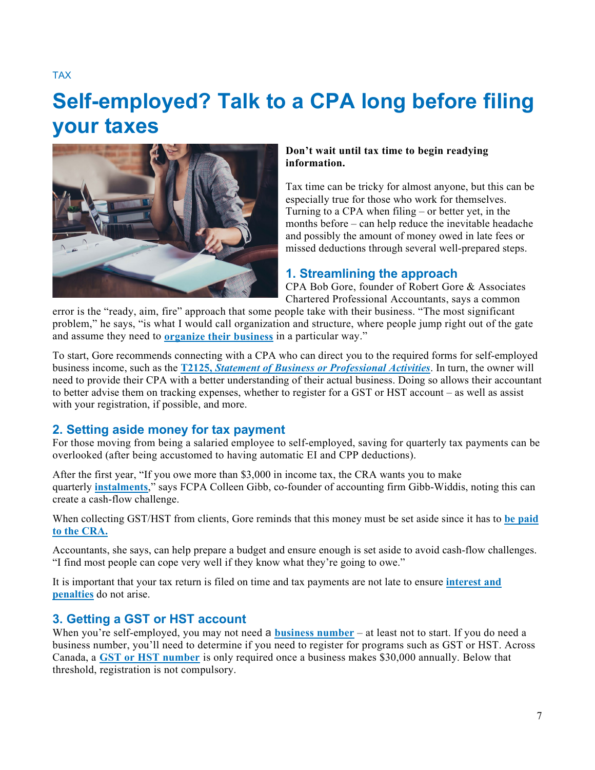TAX

# **Self-employed? Talk to a CPA long before filing your taxes**



#### **Don't wait until tax time to begin readying information.**

Tax time can be tricky for almost anyone, but this can be especially true for those who work for themselves. Turning to a CPA when filing – or better yet, in the months before – can help reduce the inevitable headache and possibly the amount of money owed in late fees or missed deductions through several well-prepared steps.

# **1. Streamlining the approach**

CPA Bob Gore, founder of Robert Gore & Associates Chartered Professional Accountants, says a common

error is the "ready, aim, fire" approach that some people take with their business. "The most significant problem," he says, "is what I would call organization and structure, where people jump right out of the gate and assume they need to **[organize their business](https://www.bdo.ca/BDO/media/Misc-Documents/Self-Employment-Is-it-for-you.pdf)** in a particular way."

To start, Gore recommends connecting with a CPA who can direct you to the required forms for self-employed business income, such as the **T2125,** *[Statement of Business or Professional Activities](https://www.canada.ca/en/revenue-agency/services/forms-publications/forms/t2125.html)*. In turn, the owner will need to provide their CPA with a better understanding of their actual business. Doing so allows their accountant to better advise them on tracking expenses, whether to register for a GST or HST account – as well as assist with your registration, if possible, and more.

# **2. Setting aside money for tax payment**

For those moving from being a salaried employee to self-employed, saving for quarterly tax payments can be overlooked (after being accustomed to having automatic EI and CPP deductions).

After the first year, "If you owe more than \$3,000 in income tax, the CRA wants you to make quarterly **[instalments](https://www.canada.ca/en/revenue-agency/services/payments-cra/individual-payments/income-tax-instalments.html)**," says FCPA Colleen Gibb, co-founder of accounting firm Gibb-Widdis, noting this can create a cash-flow challenge.

When collecting GST/HST from clients, Gore reminds that this money must be set aside since it has to **[be paid](https://www.canada.ca/en/revenue-agency/services/tax/businesses/topics/gst-hst-businesses/pay-when.html)  [to the CRA.](https://www.canada.ca/en/revenue-agency/services/tax/businesses/topics/gst-hst-businesses/pay-when.html)** 

Accountants, she says, can help prepare a budget and ensure enough is set aside to avoid cash-flow challenges. "I find most people can cope very well if they know what they're going to owe."

It is important that your tax return is filed on time and tax payments are not late to ensure **[interest and](https://www.canada.ca/en/revenue-agency/services/tax/individuals/topics/about-your-tax-return/interest-penalties/late-filing-penalty.html)  [penalties](https://www.canada.ca/en/revenue-agency/services/tax/individuals/topics/about-your-tax-return/interest-penalties/late-filing-penalty.html)** do not arise.

# **3. Getting a GST or HST account**

When you're self-employed, you may not need a **[business number](https://www.canada.ca/en/revenue-agency/services/tax/businesses/topics/gst-hst-businesses/account-register.html)** – at least not to start. If you do need a business number, you'll need to determine if you need to register for programs such as GST or HST. Across Canada, a **[GST or HST number](https://www.canada.ca/en/revenue-agency/services/tax/businesses/topics/gst-hst-businesses/when-register-charge.html)** is only required once a business makes \$30,000 annually. Below that threshold, registration is not compulsory.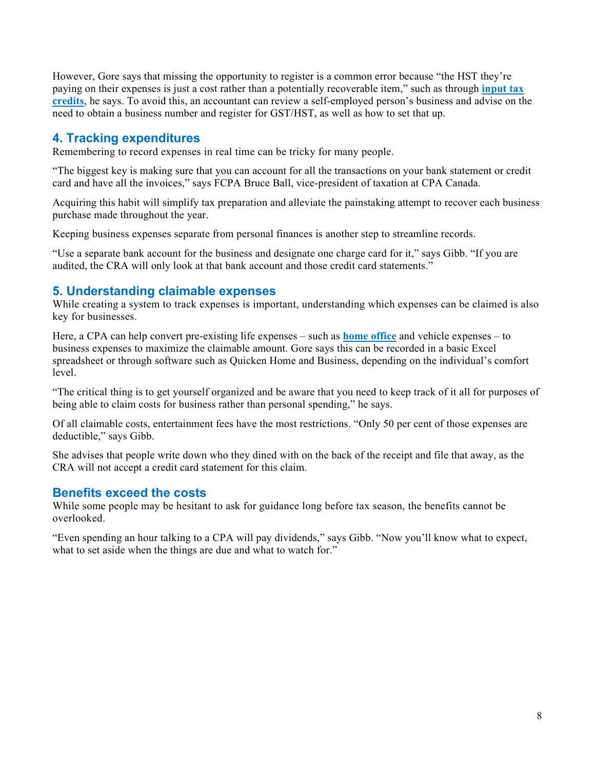However, Gore says that missing the opportunity to register is a common error because "the HST they're paying on their expenses is just a cost rather than a potentially recoverable item," such as through **[input tax](https://www.canada.ca/en/revenue-agency/services/tax/businesses/topics/gst-hst-businesses/complete-file-input-tax-credit.html)  [credits](https://www.canada.ca/en/revenue-agency/services/tax/businesses/topics/gst-hst-businesses/complete-file-input-tax-credit.html)**, he says. To avoid this, an accountant can review a self-employed person's business and advise on the need to obtain a business number and register for GST/HST, as well as how to set that up.

# **4. Tracking expenditures**

Remembering to record expenses in real time can be tricky for many people.

"The biggest key is making sure that you can account for all the transactions on your bank statement or credit card and have all the invoices," says FCPA Bruce Ball, vice-president of taxation at CPA Canada.

Acquiring this habit will simplify tax preparation and alleviate the painstaking attempt to recover each business purchase made throughout the year.

Keeping business expenses separate from personal finances is another step to streamline records.

"Use a separate bank account for the business and designate one charge card for it," says Gibb. "If you are audited, the CRA will only look at that bank account and those credit card statements."

# **5. Understanding claimable expenses**

While creating a system to track expenses is important, understanding which expenses can be claimed is also key for businesses.

Here, a CPA can help convert pre-existing life expenses – such as **[home office](https://www.cpacanada.ca/en/business-and-accounting-resources/taxation/blog/2021/january/employee-home-office-expenses-2020)** and vehicle expenses – to business expenses to maximize the claimable amount. Gore says this can be recorded in a basic Excel spreadsheet or through software such as Quicken Home and Business, depending on the individual's comfort level.

"The critical thing is to get yourself organized and be aware that you need to keep track of it all for purposes of being able to claim costs for business rather than personal spending," he says.

Of all claimable costs, entertainment fees have the most restrictions. "Only 50 per cent of those expenses are deductible," says Gibb.

She advises that people write down who they dined with on the back of the receipt and file that away, as the CRA will not accept a credit card statement for this claim.

# **Benefits exceed the costs**

While some people may be hesitant to ask for guidance long before tax season, the benefits cannot be overlooked.

"Even spending an hour talking to a CPA will pay dividends," says Gibb. "Now you'll know what to expect, what to set aside when the things are due and what to watch for."